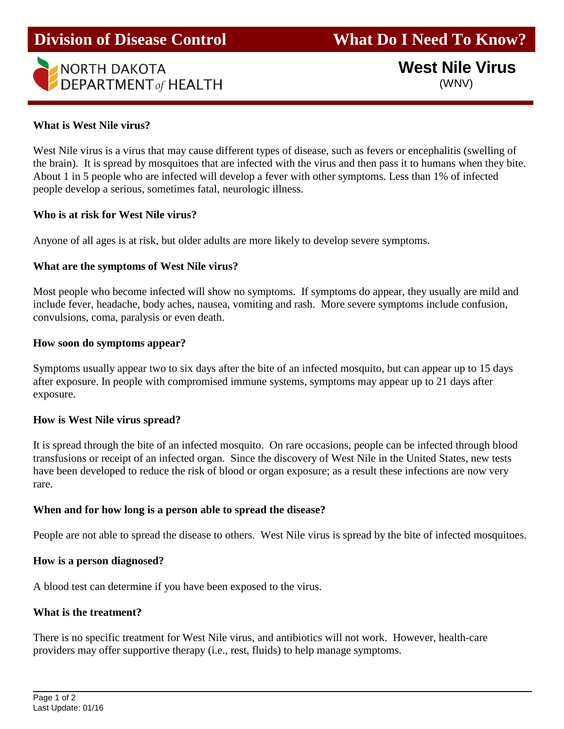

### **What is West Nile virus?**

West Nile virus is a virus that may cause different types of disease, such as fevers or encephalitis (swelling of the brain). It is spread by mosquitoes that are infected with the virus and then pass it to humans when they bite. About 1 in 5 people who are infected will develop a fever with other symptoms. Less than 1% of infected people develop a serious, sometimes fatal, neurologic illness.

### **Who is at risk for West Nile virus?**

Anyone of all ages is at risk, but older adults are more likely to develop severe symptoms.

### **What are the symptoms of West Nile virus?**

Most people who become infected will show no symptoms. If symptoms do appear, they usually are mild and include fever, headache, body aches, nausea, vomiting and rash. More severe symptoms include confusion, convulsions, coma, paralysis or even death.

### **How soon do symptoms appear?**

Symptoms usually appear two to six days after the bite of an infected mosquito, but can appear up to 15 days after exposure. In people with compromised immune systems, symptoms may appear up to 21 days after exposure.

### **How is West Nile virus spread?**

It is spread through the bite of an infected mosquito. On rare occasions, people can be infected through blood transfusions or receipt of an infected organ. Since the discovery of West Nile in the United States, new tests have been developed to reduce the risk of blood or organ exposure; as a result these infections are now very rare.

### **When and for how long is a person able to spread the disease?**

People are not able to spread the disease to others. West Nile virus is spread by the bite of infected mosquitoes.

### **How is a person diagnosed?**

A blood test can determine if you have been exposed to the virus.

### **What is the treatment?**

There is no specific treatment for West Nile virus, and antibiotics will not work. However, health-care providers may offer supportive therapy (i.e., rest, fluids) to help manage symptoms.